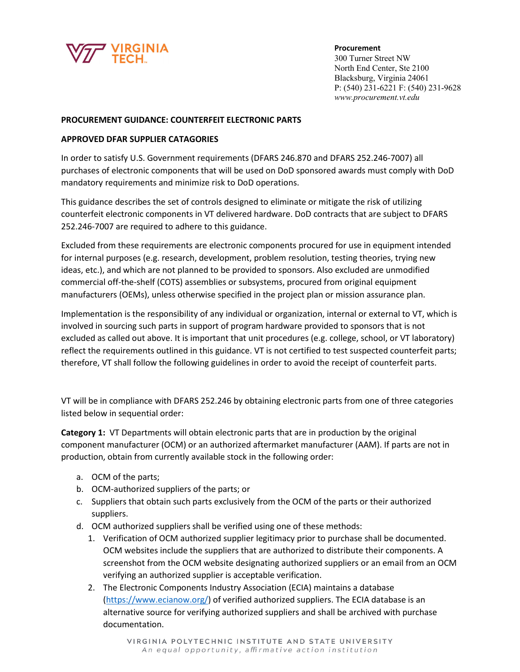

**Procurement** 300 Turner Street NW North End Center, Ste 2100 Blacksburg, Virginia 24061 P: (540) 231-6221 F: (540) 231-9628 *www.procurement.vt.edu* 

## **PROCUREMENT GUIDANCE: COUNTERFEIT ELECTRONIC PARTS**

## **APPROVED DFAR SUPPLIER CATAGORIES**

In order to satisfy U.S. Government requirements (DFARS 246.870 and DFARS 252.246-7007) all purchases of electronic components that will be used on DoD sponsored awards must comply with DoD mandatory requirements and minimize risk to DoD operations.

This guidance describes the set of controls designed to eliminate or mitigate the risk of utilizing counterfeit electronic components in VT delivered hardware. DoD contracts that are subject to DFARS 252.246-7007 are required to adhere to this guidance.

Excluded from these requirements are electronic components procured for use in equipment intended for internal purposes (e.g. research, development, problem resolution, testing theories, trying new ideas, etc.), and which are not planned to be provided to sponsors. Also excluded are unmodified commercial off-the-shelf (COTS) assemblies or subsystems, procured from original equipment manufacturers (OEMs), unless otherwise specified in the project plan or mission assurance plan.

Implementation is the responsibility of any individual or organization, internal or external to VT, which is involved in sourcing such parts in support of program hardware provided to sponsors that is not excluded as called out above. It is important that unit procedures (e.g. college, school, or VT laboratory) reflect the requirements outlined in this guidance. VT is not certified to test suspected counterfeit parts; therefore, VT shall follow the following guidelines in order to avoid the receipt of counterfeit parts.

VT will be in compliance with DFARS 252.246 by obtaining electronic parts from one of three categories listed below in sequential order:

**Category 1:** VT Departments will obtain electronic parts that are in production by the original component manufacturer (OCM) or an authorized aftermarket manufacturer (AAM). If parts are not in production, obtain from currently available stock in the following order:

- a. OCM of the parts;
- b. OCM-authorized suppliers of the parts; or
- c. Suppliers that obtain such parts exclusively from the OCM of the parts or their authorized suppliers.
- d. OCM authorized suppliers shall be verified using one of these methods:
	- 1. Verification of OCM authorized supplier legitimacy prior to purchase shall be documented. OCM websites include the suppliers that are authorized to distribute their components. A screenshot from the OCM website designating authorized suppliers or an email from an OCM verifying an authorized supplier is acceptable verification.
	- 2. The Electronic Components Industry Association (ECIA) maintains a database ([https://www.ecianow.org/\)](https://www.ecianow.org/) of verified authorized suppliers. The ECIA database is an alternative source for verifying authorized suppliers and shall be archived with purchase documentation.